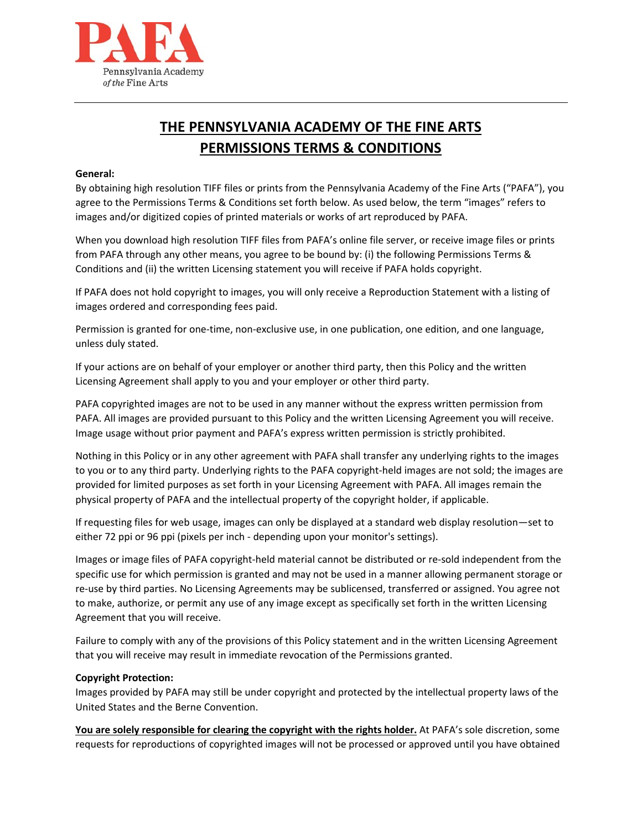

# **THE PENNSYLVANIA ACADEMY OF THE FINE ARTS PERMISSIONS TERMS & CONDITIONS**

#### **General:**

By obtaining high resolution TIFF files or prints from the Pennsylvania Academy of the Fine Arts ("PAFA"), you agree to the Permissions Terms & Conditions set forth below. As used below, the term "images" refers to images and/or digitized copies of printed materials or works of art reproduced by PAFA.

When you download high resolution TIFF files from PAFA's online file server, or receive image files or prints from PAFA through any other means, you agree to be bound by: (i) the following Permissions Terms & Conditions and (ii) the written Licensing statement you will receive if PAFA holds copyright.

If PAFA does not hold copyright to images, you will only receive a Reproduction Statement with a listing of images ordered and corresponding fees paid.

Permission is granted for one-time, non-exclusive use, in one publication, one edition, and one language, unless duly stated.

If your actions are on behalf of your employer or another third party, then this Policy and the written Licensing Agreement shall apply to you and your employer or other third party.

PAFA copyrighted images are not to be used in any manner without the express written permission from PAFA. All images are provided pursuant to this Policy and the written Licensing Agreement you will receive. Image usage without prior payment and PAFA's express written permission is strictly prohibited.

Nothing in this Policy or in any other agreement with PAFA shall transfer any underlying rights to the images to you or to any third party. Underlying rights to the PAFA copyright‐held images are not sold; the images are provided for limited purposes as set forth in your Licensing Agreement with PAFA. All images remain the physical property of PAFA and the intellectual property of the copyright holder, if applicable.

If requesting files for web usage, images can only be displayed at a standard web display resolution—set to either 72 ppi or 96 ppi (pixels per inch ‐ depending upon your monitor's settings).

Images or image files of PAFA copyright‐held material cannot be distributed or re‐sold independent from the specific use for which permission is granted and may not be used in a manner allowing permanent storage or re-use by third parties. No Licensing Agreements may be sublicensed, transferred or assigned. You agree not to make, authorize, or permit any use of any image except as specifically set forth in the written Licensing Agreement that you will receive.

Failure to comply with any of the provisions of this Policy statement and in the written Licensing Agreement that you will receive may result in immediate revocation of the Permissions granted.

#### **Copyright Protection:**

Images provided by PAFA may still be under copyright and protected by the intellectual property laws of the United States and the Berne Convention.

**You are solely responsible for clearing the copyright with the rights holder.** At PAFA's sole discretion, some requests for reproductions of copyrighted images will not be processed or approved until you have obtained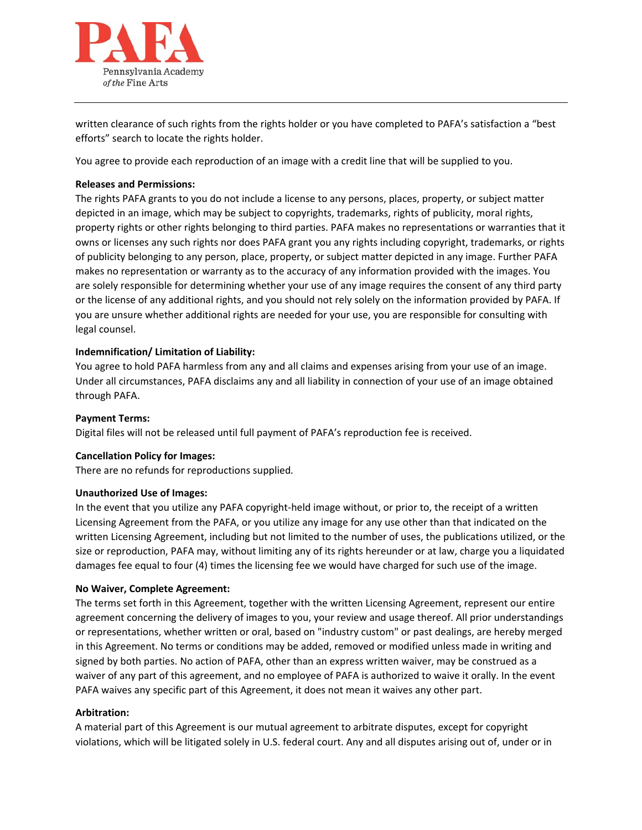

written clearance of such rights from the rights holder or you have completed to PAFA's satisfaction a "best efforts" search to locate the rights holder.

You agree to provide each reproduction of an image with a credit line that will be supplied to you.

## **Releases and Permissions:**

The rights PAFA grants to you do not include a license to any persons, places, property, or subject matter depicted in an image, which may be subject to copyrights, trademarks, rights of publicity, moral rights, property rights or other rights belonging to third parties. PAFA makes no representations or warranties that it owns or licenses any such rights nor does PAFA grant you any rights including copyright, trademarks, or rights of publicity belonging to any person, place, property, or subject matter depicted in any image. Further PAFA makes no representation or warranty as to the accuracy of any information provided with the images. You are solely responsible for determining whether your use of any image requires the consent of any third party or the license of any additional rights, and you should not rely solely on the information provided by PAFA. If you are unsure whether additional rights are needed for your use, you are responsible for consulting with legal counsel.

## **Indemnification/ Limitation of Liability:**

You agree to hold PAFA harmless from any and all claims and expenses arising from your use of an image. Under all circumstances, PAFA disclaims any and all liability in connection of your use of an image obtained through PAFA.

#### **Payment Terms:**

Digital files will not be released until full payment of PAFA's reproduction fee is received.

#### **Cancellation Policy for Images:**

There are no refunds for reproductions supplied*.* 

#### **Unauthorized Use of Images:**

In the event that you utilize any PAFA copyright-held image without, or prior to, the receipt of a written Licensing Agreement from the PAFA, or you utilize any image for any use other than that indicated on the written Licensing Agreement, including but not limited to the number of uses, the publications utilized, or the size or reproduction, PAFA may, without limiting any of its rights hereunder or at law, charge you a liquidated damages fee equal to four (4) times the licensing fee we would have charged for such use of the image.

#### **No Waiver, Complete Agreement:**

The terms set forth in this Agreement, together with the written Licensing Agreement, represent our entire agreement concerning the delivery of images to you, your review and usage thereof. All prior understandings or representations, whether written or oral, based on "industry custom" or past dealings, are hereby merged in this Agreement. No terms or conditions may be added, removed or modified unless made in writing and signed by both parties. No action of PAFA, other than an express written waiver, may be construed as a waiver of any part of this agreement, and no employee of PAFA is authorized to waive it orally. In the event PAFA waives any specific part of this Agreement, it does not mean it waives any other part.

#### **Arbitration:**

A material part of this Agreement is our mutual agreement to arbitrate disputes, except for copyright violations, which will be litigated solely in U.S. federal court. Any and all disputes arising out of, under or in